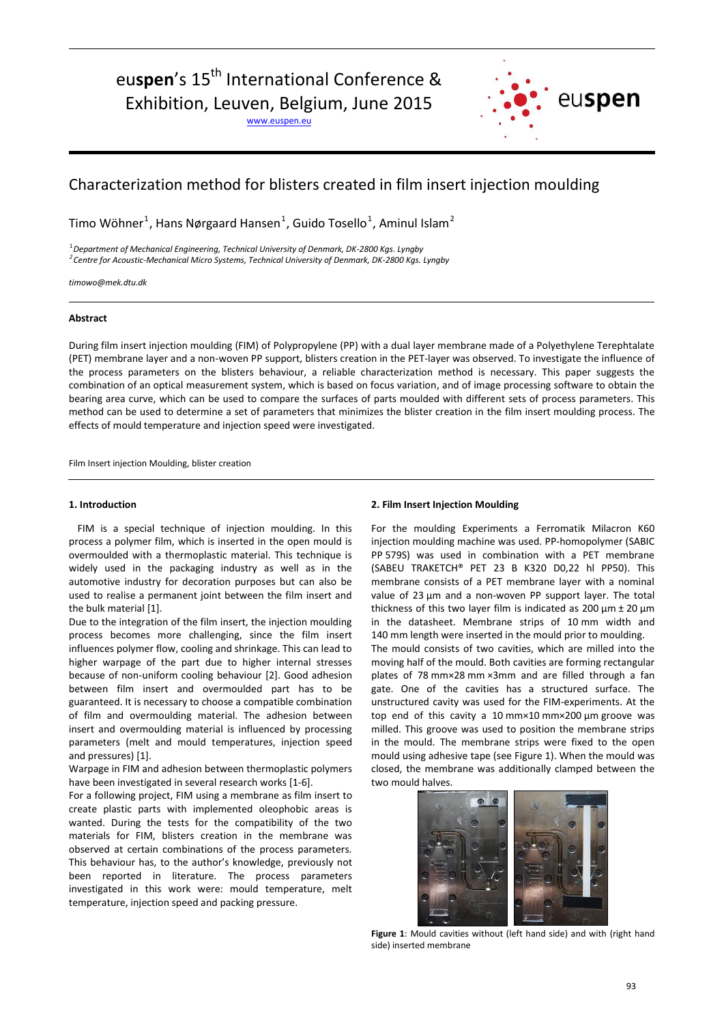# euspen's 15<sup>th</sup> International Conference & Exhibition, Leuven, Belgium, June 2015

[www.euspen.eu](http://www.euspen.eu/)



## Characterization method for blisters created in film insert injection moulding

Timo Wöhner<sup>1</sup>, Hans Nørgaard Hansen<sup>1</sup>, Guido Tosello<sup>1</sup>, Aminul Islam<sup>2</sup>

<sup>1</sup>Department of Mechanical Engineering, Technical University of Denmark, DK-2800 Kgs. Lyngby <sup>2</sup>Centre for Acoustic-Mechanical Micro Systems, Technical University of Denmark, DK-2800 Kgs. Lyngby

*timowo@mek.dtu.dk*

### **Abstract**

During film insert injection moulding (FIM) of Polypropylene (PP) with a dual layer membrane made of a Polyethylene Terephtalate (PET) membrane layer and a non-woven PP support, blisters creation in the PET-layer was observed. To investigate the influence of the process parameters on the blisters behaviour, a reliable characterization method is necessary. This paper suggests the combination of an optical measurement system, which is based on focus variation, and of image processing software to obtain the bearing area curve, which can be used to compare the surfaces of parts moulded with different sets of process parameters. This method can be used to determine a set of parameters that minimizes the blister creation in the film insert moulding process. The effects of mould temperature and injection speed were investigated.

Film Insert injection Moulding, blister creation

#### **1. Introduction**

FIM is a special technique of injection moulding. In this process a polymer film, which is inserted in the open mould is overmoulded with a thermoplastic material. This technique is widely used in the packaging industry as well as in the automotive industry for decoration purposes but can also be used to realise a permanent joint between the film insert and the bulk material [1].

Due to the integration of the film insert, the injection moulding process becomes more challenging, since the film insert influences polymer flow, cooling and shrinkage. This can lead to higher warpage of the part due to higher internal stresses because of non-uniform cooling behaviour [2]. Good adhesion between film insert and overmoulded part has to be guaranteed. It is necessary to choose a compatible combination of film and overmoulding material. The adhesion between insert and overmoulding material is influenced by processing parameters (melt and mould temperatures, injection speed and pressures) [1].

Warpage in FIM and adhesion between thermoplastic polymers have been investigated in several research works [1-6].

For a following project, FIM using a membrane as film insert to create plastic parts with implemented oleophobic areas is wanted. During the tests for the compatibility of the two materials for FIM, blisters creation in the membrane was observed at certain combinations of the process parameters. This behaviour has, to the author's knowledge, previously not been reported in literature. The process parameters investigated in this work were: mould temperature, melt temperature, injection speed and packing pressure.

#### **2. Film Insert Injection Moulding**

For the moulding Experiments a Ferromatik Milacron K60 injection moulding machine was used. PP-homopolymer (SABIC PP 579S) was used in combination with a PET membrane (SABEU TRAKETCH® PET 23 B K320 D0,22 hl PP50). This membrane consists of a PET membrane layer with a nominal value of 23 µm and a non-woven PP support layer. The total thickness of this two layer film is indicated as  $200 \mu m \pm 20 \mu m$ in the datasheet. Membrane strips of 10 mm width and 140 mm length were inserted in the mould prior to moulding. The mould consists of two cavities, which are milled into the moving half of the mould. Both cavities are forming rectangular plates of 78 mm×28 mm ×3mm and are filled through a fan gate. One of the cavities has a structured surface. The unstructured cavity was used for the FIM-experiments. At the top end of this cavity a 10 mm×10 mm×200 µm groove was milled. This groove was used to position the membrane strips in the mould. The membrane strips were fixed to the open mould using adhesive tape (se[e Figure 1\)](#page-0-0). When the mould was closed, the membrane was additionally clamped between the two mould halves.

<span id="page-0-0"></span>

**Figure 1**: Mould cavities without (left hand side) and with (right hand side) inserted membrane